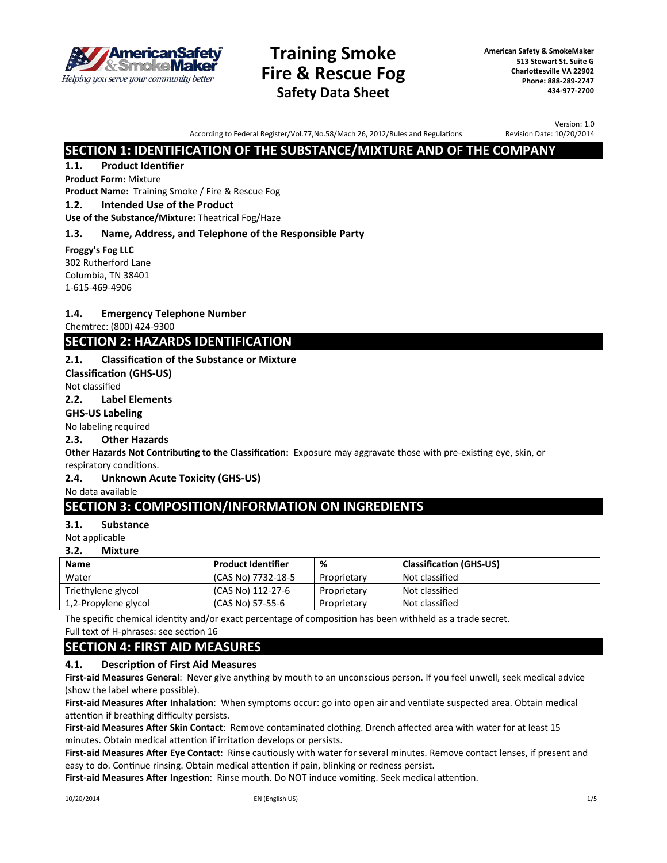

# **Training Smoke Fire & Rescue Fog Safety Data Sheet**

**American Safety & SmokeMaker 513 Stewart St. Suite G Charlottesville VA 22902 Phone: 888-289-2747 434-977-2700**

According to Federal Register/Vol.77,No.58/Mach 26, 2012/Rules and Regulations

Version: 1.0 Revision Date: 10/20/2014

# **SECTION 1: IDENTIFICATION OF THE SUBSTANCE/MIXTURE AND OF THE COMPANY**

### **1.1. Product Identifier**

#### **Product Form:** Mixture

**Product Name:** Training Smoke / Fire & Rescue Fog

### **1.2. Intended Use of the Product**

**Use of the Substance/Mixture:** Theatrical Fog/Haze

#### **1.3. Name, Address, and Telephone of the Responsible Party**

**Froggy's Fog LLC**  302 Rutherford Lane Columbia, TN 38401 1-615-469-4906

#### **1.4. Emergency Telephone Number**

Chemtrec: (800) 424-9300

# **SECTION 2: HAZARDS IDENTIFICATION**

#### **2.1. Classification of the Substance or Mixture**

**Classification (GHS-US)** 

Not classified

#### **2.2. Label Elements**

## **GHS-US Labeling**

No labeling required

#### **2.3. Other Hazards**

**Other Hazards Not Contributing to the Classification:** Exposure may aggravate those with pre-existing eye, skin, or respiratory conditions.

#### **2.4. Unknown Acute Toxicity (GHS-US)**

No data available

# **SECTION 3: COMPOSITION/INFORMATION ON INGREDIENTS**

#### **3.1. Substance**

Not applicable

#### **3.2. Mixture**

| <b>Name</b>          | <b>Product Identifier</b> | %           | <b>Classification (GHS-US)</b> |
|----------------------|---------------------------|-------------|--------------------------------|
| Water                | (CAS No) 7732-18-5        | Proprietary | Not classified                 |
| Triethylene glycol   | (CAS No) 112-27-6         | Proprietary | Not classified                 |
| 1,2-Propylene glycol | (CAS No) 57-55-6          | Proprietary | Not classified                 |

The specific chemical identity and/or exact percentage of composition has been withheld as a trade secret.

Full text of H-phrases: see section 16

# **SECTION 4: FIRST AID MEASURES**

#### **4.1. Description of First Aid Measures**

**First-aid Measures General**: Never give anything by mouth to an unconscious person. If you feel unwell, seek medical advice (show the label where possible).

**First-aid Measures After Inhalation**: When symptoms occur: go into open air and ventilate suspected area. Obtain medical attention if breathing difficulty persists.

**First-aid Measures After Skin Contact**: Remove contaminated clothing. Drench affected area with water for at least 15 minutes. Obtain medical attention if irritation develops or persists.

**First-aid Measures After Eye Contact**: Rinse cautiously with water for several minutes. Remove contact lenses, if present and easy to do. Continue rinsing. Obtain medical attention if pain, blinking or redness persist.

**First-aid Measures After Ingestion**: Rinse mouth. Do NOT induce vomiting. Seek medical attention.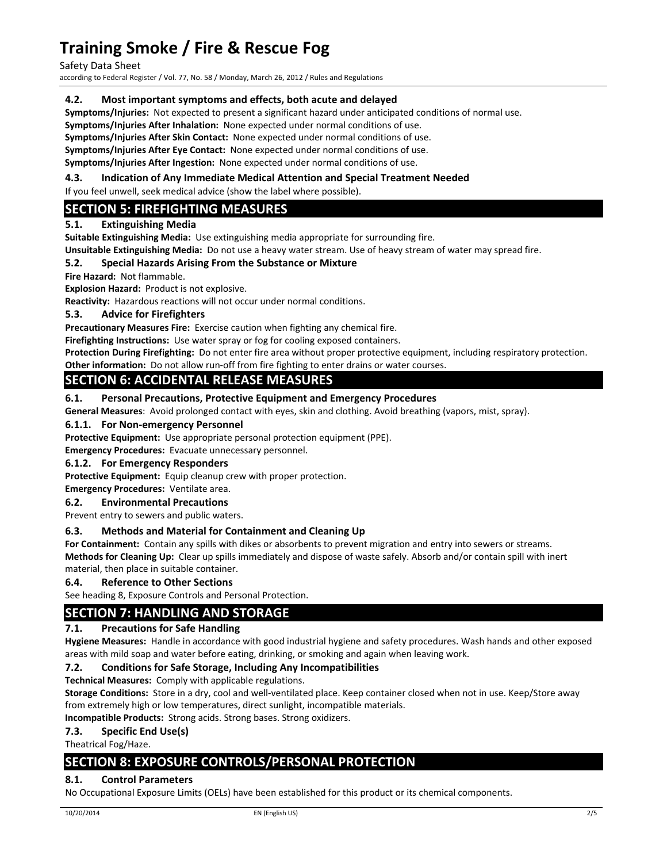Safety Data Sheet

according to Federal Register / Vol. 77, No. 58 / Monday, March 26, 2012 / Rules and Regulations

#### **4.2. Most important symptoms and effects, both acute and delayed**

**Symptoms/Injuries:** Not expected to present a significant hazard under anticipated conditions of normal use.

**Symptoms/Injuries After Inhalation:** None expected under normal conditions of use.

**Symptoms/Injuries After Skin Contact:** None expected under normal conditions of use.

**Symptoms/Injuries After Eye Contact:** None expected under normal conditions of use.

**Symptoms/Injuries After Ingestion:** None expected under normal conditions of use.

#### **4.3. Indication of Any Immediate Medical Attention and Special Treatment Needed**

If you feel unwell, seek medical advice (show the label where possible).

## **SECTION 5: FIREFIGHTING MEASURES**

#### **5.1. Extinguishing Media**

**Suitable Extinguishing Media:** Use extinguishing media appropriate for surrounding fire.

**Unsuitable Extinguishing Media:** Do not use a heavy water stream. Use of heavy stream of water may spread fire.

## **5.2. Special Hazards Arising From the Substance or Mixture**

**Fire Hazard: Not flammable.** 

**Explosion Hazard: Product is not explosive.** 

**Reactivity:** Hazardous reactions will not occur under normal conditions.

#### **5.3. Advice for Firefighters**

**Precautionary Measures Fire:** Exercise caution when fighting any chemical fire.

**Firefighting Instructions:** Use water spray or fog for cooling exposed containers.

**Protection During Firefighting:** Do not enter fire area without proper protective equipment, including respiratory protection.

**Other information:** Do not allow run-off from fire fighting to enter drains or water courses.

# **SECTION 6: ACCIDENTAL RELEASE MEASURES**

#### **6.1. Personal Precautions, Protective Equipment and Emergency Procedures**

**General Measures**: Avoid prolonged contact with eyes, skin and clothing. Avoid breathing (vapors, mist, spray).

#### **6.1.1. For Non‐emergency Personnel**

**Protective Equipment:** Use appropriate personal protection equipment (PPE).

**Emergency Procedures:** Evacuate unnecessary personnel.

#### **6.1.2. For Emergency Responders**

**Protective Equipment:** Equip cleanup crew with proper protection.

**Emergency Procedures:** Ventilate area.

#### **6.2. Environmental Precautions**

Prevent entry to sewers and public waters.

#### **6.3. Methods and Material for Containment and Cleaning Up**

**For Containment:** Contain any spills with dikes or absorbents to prevent migration and entry into sewers or streams. **Methods for Cleaning Up:** Clear up spills immediately and dispose of waste safely. Absorb and/or contain spill with inert material, then place in suitable container.

#### **6.4. Reference to Other Sections**

See heading 8, Exposure Controls and Personal Protection.

# **SECTION 7: HANDLING AND STORAGE**

#### **7.1. Precautions for Safe Handling**

**Hygiene Measures:** Handle in accordance with good industrial hygiene and safety procedures. Wash hands and other exposed areas with mild soap and water before eating, drinking, or smoking and again when leaving work.

#### **7.2. Conditions for Safe Storage, Including Any Incompatibilities**

**Technical Measures:** Comply with applicable regulations.

**Storage Conditions:** Store in a dry, cool and well‐ventilated place. Keep container closed when not in use. Keep/Store away from extremely high or low temperatures, direct sunlight, incompatible materials.

**Incompatible Products:** Strong acids. Strong bases. Strong oxidizers.

#### **7.3. Specific End Use(s)**

Theatrical Fog/Haze.

# **SECTION 8: EXPOSURE CONTROLS/PERSONAL PROTECTION**

#### **8.1. Control Parameters**

No Occupational Exposure Limits (OELs) have been established for this product or its chemical components.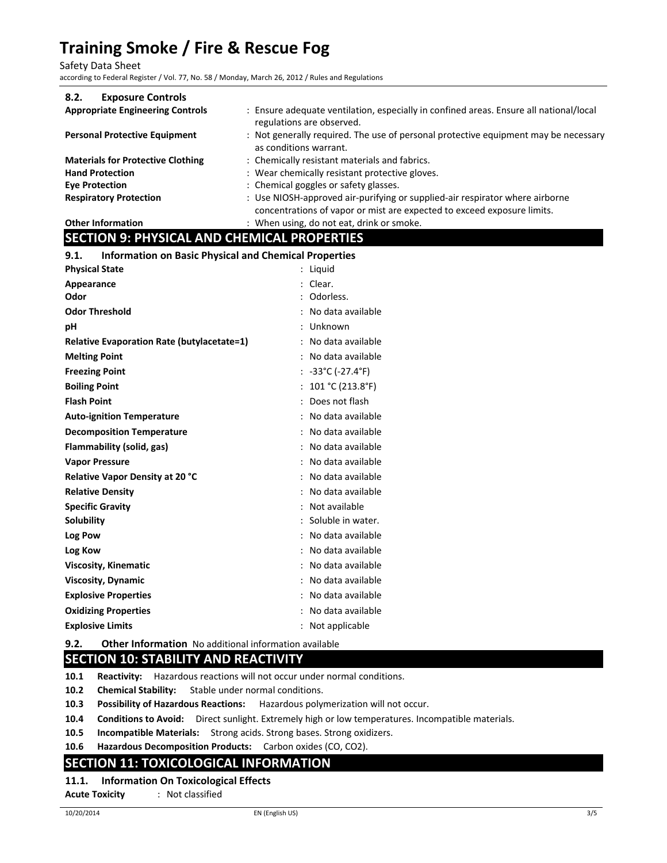Safety Data Sheet

according to Federal Register / Vol. 77, No. 58 / Monday, March 26, 2012 / Rules and Regulations

| 8.2.<br><b>Exposure Controls</b>         |                                                                                                                                                         |
|------------------------------------------|---------------------------------------------------------------------------------------------------------------------------------------------------------|
| <b>Appropriate Engineering Controls</b>  | : Ensure adequate ventilation, especially in confined areas. Ensure all national/local<br>regulations are observed.                                     |
| <b>Personal Protective Equipment</b>     | : Not generally required. The use of personal protective equipment may be necessary<br>as conditions warrant.                                           |
| <b>Materials for Protective Clothing</b> | : Chemically resistant materials and fabrics.                                                                                                           |
| <b>Hand Protection</b>                   | : Wear chemically resistant protective gloves.                                                                                                          |
| <b>Eve Protection</b>                    | : Chemical goggles or safety glasses.                                                                                                                   |
| <b>Respiratory Protection</b>            | : Use NIOSH-approved air-purifying or supplied-air respirator where airborne<br>concentrations of vapor or mist are expected to exceed exposure limits. |
| <b>Other Information</b>                 | : When using, do not eat, drink or smoke.                                                                                                               |

## **SECTION 9: PHYSICAL AND CHEMICAL PROPERTIES**

| 9.1.<br><b>Information on Basic Physical and Chemical Properties</b> |                                        |
|----------------------------------------------------------------------|----------------------------------------|
| <b>Physical State</b>                                                | : Liquid                               |
| Appearance                                                           | Clear.                                 |
| Odor                                                                 | Odorless.                              |
| <b>Odor Threshold</b>                                                | No data available                      |
| pH                                                                   | : Unknown                              |
| <b>Relative Evaporation Rate (butylacetate=1)</b>                    | No data available                      |
| <b>Melting Point</b>                                                 | No data available                      |
| <b>Freezing Point</b>                                                | : $-33^{\circ}$ C ( $-27.4^{\circ}$ F) |
| <b>Boiling Point</b>                                                 | : $101 °C (213.8 °F)$                  |
| <b>Flash Point</b>                                                   | : Does not flash                       |
| <b>Auto-ignition Temperature</b>                                     | No data available                      |
| <b>Decomposition Temperature</b>                                     | No data available                      |
| Flammability (solid, gas)                                            | No data available                      |
| <b>Vapor Pressure</b>                                                | No data available                      |
| Relative Vapor Density at 20 °C                                      | No data available                      |
| <b>Relative Density</b>                                              | No data available                      |
| <b>Specific Gravity</b>                                              | Not available                          |
| <b>Solubility</b>                                                    | Soluble in water.                      |
| Log Pow                                                              | No data available                      |
| Log Kow                                                              | No data available                      |
| <b>Viscosity, Kinematic</b>                                          | No data available                      |
| <b>Viscosity, Dynamic</b>                                            | No data available<br>٠                 |
| <b>Explosive Properties</b>                                          | No data available<br>٠                 |
| <b>Oxidizing Properties</b>                                          | No data available                      |
| <b>Explosive Limits</b>                                              | Not applicable                         |
|                                                                      |                                        |

**9.2. Other Information** No additional information available

# **SECTION 10: STABILITY AND REACTIVITY**

- **10.1 Reactivity:** Hazardous reactions will not occur under normal conditions.
- **10.2 Chemical Stability:** Stable under normal conditions.
- **10.3 Possibility of Hazardous Reactions:** Hazardous polymerization will not occur.
- **10.4 Conditions to Avoid:** Direct sunlight. Extremely high or low temperatures. Incompatible materials.
- **10.5 Incompatible Materials:** Strong acids. Strong bases. Strong oxidizers.
- **10.6 Hazardous Decomposition Products:** Carbon oxides (CO, CO2).

## **SECTION 11: TOXICOLOGICAL INFORMATION**

#### **11.1. Information On Toxicological Effects**

**Acute Toxicity**  : Not classified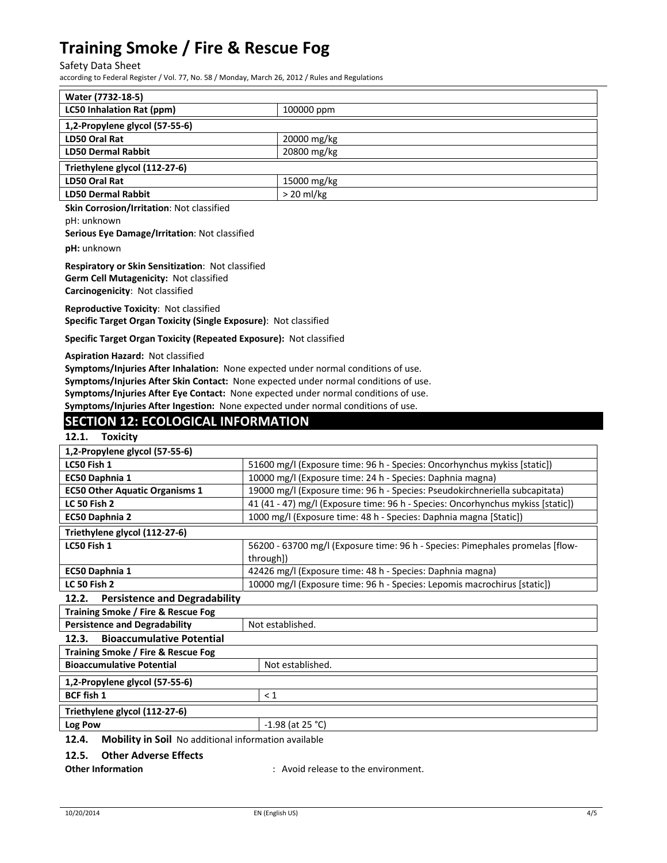Safety Data Sheet

according to Federal Register / Vol. 77, No. 58 / Monday, March 26, 2012 / Rules and Regulations

| Water (7732-18-5)                |              |  |
|----------------------------------|--------------|--|
| <b>LC50 Inhalation Rat (ppm)</b> | 100000 ppm   |  |
| 1,2-Propylene glycol (57-55-6)   |              |  |
| LD50 Oral Rat                    | 20000 mg/kg  |  |
| <b>LD50 Dermal Rabbit</b>        | 20800 mg/kg  |  |
| Triethylene glycol (112-27-6)    |              |  |
| LD50 Oral Rat                    | 15000 mg/kg  |  |
| <b>LD50 Dermal Rabbit</b>        | $> 20$ ml/kg |  |

**Skin Corrosion/Irritation**: Not classified

pH: unknown

**Serious Eye Damage/Irritation**: Not classified

**pH:** unknown

**Respiratory or Skin Sensitization**: Not classified **Germ Cell Mutagenicity:** Not classified **Carcinogenicity**: Not classified

**Reproductive Toxicity**: Not classified **Specific Target Organ Toxicity (Single Exposure)**: Not classified

**Specific Target Organ Toxicity (Repeated Exposure):** Not classified

**Aspiration Hazard:** Not classified

**Symptoms/Injuries After Inhalation:** None expected under normal conditions of use. **Symptoms/Injuries After Skin Contact:** None expected under normal conditions of use. **Symptoms/Injuries After Eye Contact:** None expected under normal conditions of use. **Symptoms/Injuries After Ingestion:** None expected under normal conditions of use.

## **SECTION 12: ECOLOGICAL INFORMATION**

#### **12.1. Toxicity**

| 1,2-Propylene glycol (57-55-6)            |                                                                                 |  |
|-------------------------------------------|---------------------------------------------------------------------------------|--|
| LC50 Fish 1                               | 51600 mg/l (Exposure time: 96 h - Species: Oncorhynchus mykiss [static])        |  |
| EC50 Daphnia 1                            | 10000 mg/l (Exposure time: 24 h - Species: Daphnia magna)                       |  |
| <b>EC50 Other Aquatic Organisms 1</b>     | 19000 mg/l (Exposure time: 96 h - Species: Pseudokirchneriella subcapitata)     |  |
| <b>LC 50 Fish 2</b>                       | 41 (41 - 47) mg/l (Exposure time: 96 h - Species: Oncorhynchus mykiss [static]) |  |
| <b>EC50 Daphnia 2</b>                     | 1000 mg/l (Exposure time: 48 h - Species: Daphnia magna [Static])               |  |
| Triethylene glycol (112-27-6)             |                                                                                 |  |
| LC50 Fish 1                               | 56200 - 63700 mg/l (Exposure time: 96 h - Species: Pimephales promelas [flow-   |  |
|                                           | through])                                                                       |  |
| EC50 Daphnia 1                            | 42426 mg/l (Exposure time: 48 h - Species: Daphnia magna)                       |  |
| <b>LC 50 Fish 2</b>                       | 10000 mg/l (Exposure time: 96 h - Species: Lepomis macrochirus [static])        |  |
| 12.2. Persistence and Degradability       |                                                                                 |  |
| Training Smoke / Fire & Rescue Fog        |                                                                                 |  |
| <b>Persistence and Degradability</b>      | Not established.                                                                |  |
| <b>Bioaccumulative Potential</b><br>12.3. |                                                                                 |  |
| Training Smoke / Fire & Rescue Fog        |                                                                                 |  |
| <b>Bioaccumulative Potential</b>          | Not established.                                                                |  |
| 1,2-Propylene glycol (57-55-6)            |                                                                                 |  |
| <b>BCF fish 1</b>                         | $\leq 1$                                                                        |  |
| Triethylene glycol (112-27-6)             |                                                                                 |  |
| Log Pow                                   | $-1.98$ (at 25 °C)                                                              |  |
|                                           |                                                                                 |  |

**12.4. Mobility in Soil** No additional information available

**12.5. Other Adverse Effects**

**Other Information** : Avoid release to the environment.